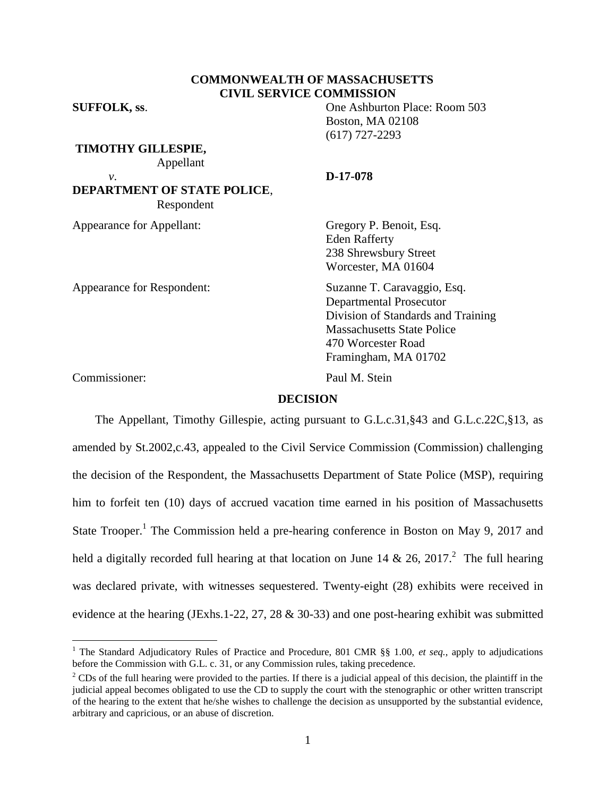### **COMMONWEALTH OF MASSACHUSETTS CIVIL SERVICE COMMISSION**

**SUFFOLK, ss**. One Ashburton Place: Room 503

**TIMOTHY GILLESPIE,** Appellant

**DEPARTMENT OF STATE POLICE**, Respondent

Appearance for Appellant: Gregory P. Benoit, Esq.

Appearance for Respondent: Suzanne T. Caravaggio, Esq.

*v*. **D-17-078**

Boston, MA 02108 (617) 727-2293

Eden Rafferty 238 Shrewsbury Street Worcester, MA 01604

Departmental Prosecutor Division of Standards and Training Massachusetts State Police 470 Worcester Road Framingham, MA 01702

Commissioner: Paul M. Stein

 $\overline{a}$ 

### **DECISION**

The Appellant, Timothy Gillespie, acting pursuant to G.L.c.31,§43 and G.L.c.22C,§13, as amended by St.2002,c.43, appealed to the Civil Service Commission (Commission) challenging the decision of the Respondent, the Massachusetts Department of State Police (MSP), requiring him to forfeit ten (10) days of accrued vacation time earned in his position of Massachusetts State Trooper.<sup>1</sup> The Commission held a pre-hearing conference in Boston on May 9, 2017 and held a digitally recorded full hearing at that location on June 14 & 26, 2017.<sup>2</sup> The full hearing was declared private, with witnesses sequestered. Twenty-eight (28) exhibits were received in evidence at the hearing (JExhs.1-22, 27, 28 & 30-33) and one post-hearing exhibit was submitted

<sup>&</sup>lt;sup>1</sup> The Standard Adjudicatory Rules of Practice and Procedure, 801 CMR §§ 1.00, et seq., apply to adjudications before the Commission with G.L. c. 31, or any Commission rules, taking precedence.

 $2^2$  CDs of the full hearing were provided to the parties. If there is a judicial appeal of this decision, the plaintiff in the judicial appeal becomes obligated to use the CD to supply the court with the stenographic or other written transcript of the hearing to the extent that he/she wishes to challenge the decision as unsupported by the substantial evidence, arbitrary and capricious, or an abuse of discretion.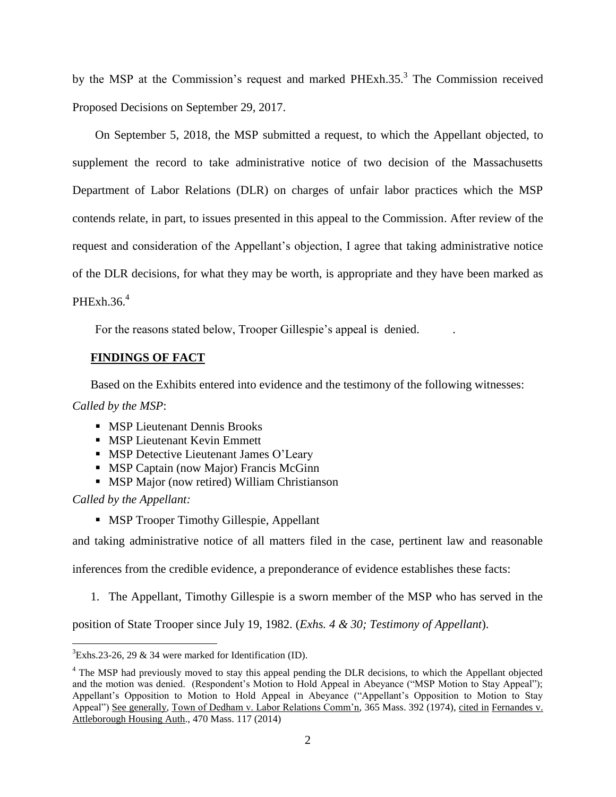by the MSP at the Commission's request and marked PHExh.35.<sup>3</sup> The Commission received Proposed Decisions on September 29, 2017.

On September 5, 2018, the MSP submitted a request, to which the Appellant objected, to supplement the record to take administrative notice of two decision of the Massachusetts Department of Labor Relations (DLR) on charges of unfair labor practices which the MSP contends relate, in part, to issues presented in this appeal to the Commission. After review of the request and consideration of the Appellant's objection, I agree that taking administrative notice of the DLR decisions, for what they may be worth, is appropriate and they have been marked as PHExh.36. $4$ 

For the reasons stated below, Trooper Gillespie's appeal is denied. .

## **FINDINGS OF FACT**

Based on the Exhibits entered into evidence and the testimony of the following witnesses:

*Called by the MSP*:

- **MSP Lieutenant Dennis Brooks**
- **MSP Lieutenant Kevin Emmett**
- **MSP** Detective Lieutenant James O'Leary
- **MSP Captain (now Major) Francis McGinn**
- **MSP Major (now retired) William Christianson**

*Called by the Appellant:*

 $\overline{a}$ 

**MSP Trooper Timothy Gillespie, Appellant** 

and taking administrative notice of all matters filed in the case, pertinent law and reasonable

inferences from the credible evidence, a preponderance of evidence establishes these facts:

1. The Appellant, Timothy Gillespie is a sworn member of the MSP who has served in the

position of State Trooper since July 19, 1982. (*Exhs. 4 & 30; Testimony of Appellant*).

 ${}^{3}$ Exhs.23-26, 29 & 34 were marked for Identification (ID).

<sup>&</sup>lt;sup>4</sup> The MSP had previously moved to stay this appeal pending the DLR decisions, to which the Appellant objected and the motion was denied. (Respondent's Motion to Hold Appeal in Abeyance ("MSP Motion to Stay Appeal"); Appellant's Opposition to Motion to Hold Appeal in Abeyance ("Appellant's Opposition to Motion to Stay Appeal") See generally, Town of Dedham v. Labor Relations Comm'n, 365 Mass. 392 (1974), cited in Fernandes v. Attleborough Housing Auth., 470 Mass. 117 (2014)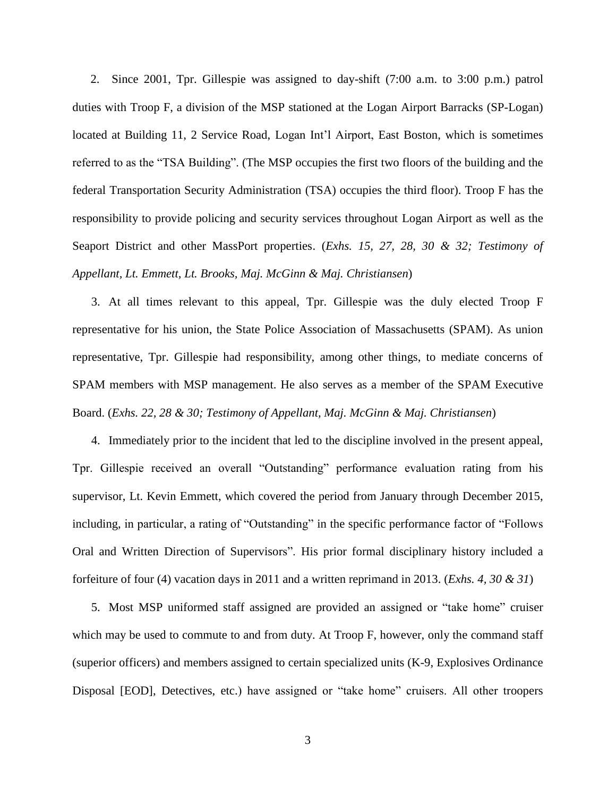2. Since 2001, Tpr. Gillespie was assigned to day-shift (7:00 a.m. to 3:00 p.m.) patrol duties with Troop F, a division of the MSP stationed at the Logan Airport Barracks (SP-Logan) located at Building 11, 2 Service Road, Logan Int'l Airport, East Boston, which is sometimes referred to as the "TSA Building". (The MSP occupies the first two floors of the building and the federal Transportation Security Administration (TSA) occupies the third floor). Troop F has the responsibility to provide policing and security services throughout Logan Airport as well as the Seaport District and other MassPort properties. (*Exhs. 15, 27, 28, 30 & 32; Testimony of Appellant, Lt. Emmett, Lt. Brooks, Maj. McGinn & Maj. Christiansen*)

3. At all times relevant to this appeal, Tpr. Gillespie was the duly elected Troop F representative for his union, the State Police Association of Massachusetts (SPAM). As union representative, Tpr. Gillespie had responsibility, among other things, to mediate concerns of SPAM members with MSP management. He also serves as a member of the SPAM Executive Board. (*Exhs. 22, 28 & 30; Testimony of Appellant, Maj. McGinn & Maj. Christiansen*)

4. Immediately prior to the incident that led to the discipline involved in the present appeal, Tpr. Gillespie received an overall "Outstanding" performance evaluation rating from his supervisor, Lt. Kevin Emmett, which covered the period from January through December 2015, including, in particular, a rating of "Outstanding" in the specific performance factor of "Follows Oral and Written Direction of Supervisors". His prior formal disciplinary history included a forfeiture of four (4) vacation days in 2011 and a written reprimand in 2013. (*Exhs. 4, 30 & 31*)

5. Most MSP uniformed staff assigned are provided an assigned or "take home" cruiser which may be used to commute to and from duty. At Troop F, however, only the command staff (superior officers) and members assigned to certain specialized units (K-9, Explosives Ordinance Disposal [EOD], Detectives, etc.) have assigned or "take home" cruisers. All other troopers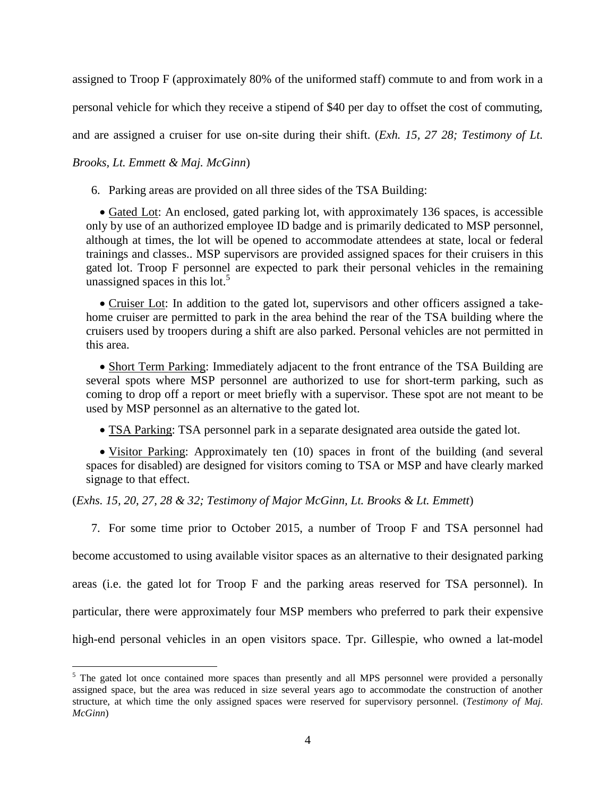assigned to Troop F (approximately 80% of the uniformed staff) commute to and from work in a personal vehicle for which they receive a stipend of \$40 per day to offset the cost of commuting, and are assigned a cruiser for use on-site during their shift. (*Exh. 15, 27 28; Testimony of Lt.* 

# *Brooks, Lt. Emmett & Maj. McGinn*)

 $\overline{a}$ 

6. Parking areas are provided on all three sides of the TSA Building:

• Gated Lot: An enclosed, gated parking lot, with approximately 136 spaces, is accessible only by use of an authorized employee ID badge and is primarily dedicated to MSP personnel, although at times, the lot will be opened to accommodate attendees at state, local or federal trainings and classes.. MSP supervisors are provided assigned spaces for their cruisers in this gated lot. Troop F personnel are expected to park their personal vehicles in the remaining unassigned spaces in this lot.<sup>5</sup>

• Cruiser Lot: In addition to the gated lot, supervisors and other officers assigned a takehome cruiser are permitted to park in the area behind the rear of the TSA building where the cruisers used by troopers during a shift are also parked. Personal vehicles are not permitted in this area.

• Short Term Parking: Immediately adjacent to the front entrance of the TSA Building are several spots where MSP personnel are authorized to use for short-term parking, such as coming to drop off a report or meet briefly with a supervisor. These spot are not meant to be used by MSP personnel as an alternative to the gated lot.

TSA Parking: TSA personnel park in a separate designated area outside the gated lot.

• Visitor Parking: Approximately ten (10) spaces in front of the building (and several spaces for disabled) are designed for visitors coming to TSA or MSP and have clearly marked signage to that effect.

(*Exhs. 15, 20, 27, 28 & 32; Testimony of Major McGinn, Lt. Brooks & Lt. Emmett*)

7. For some time prior to October 2015, a number of Troop F and TSA personnel had

become accustomed to using available visitor spaces as an alternative to their designated parking

areas (i.e. the gated lot for Troop F and the parking areas reserved for TSA personnel). In

particular, there were approximately four MSP members who preferred to park their expensive

high-end personal vehicles in an open visitors space. Tpr. Gillespie, who owned a lat-model

<sup>&</sup>lt;sup>5</sup> The gated lot once contained more spaces than presently and all MPS personnel were provided a personally assigned space, but the area was reduced in size several years ago to accommodate the construction of another structure, at which time the only assigned spaces were reserved for supervisory personnel. (*Testimony of Maj. McGinn*)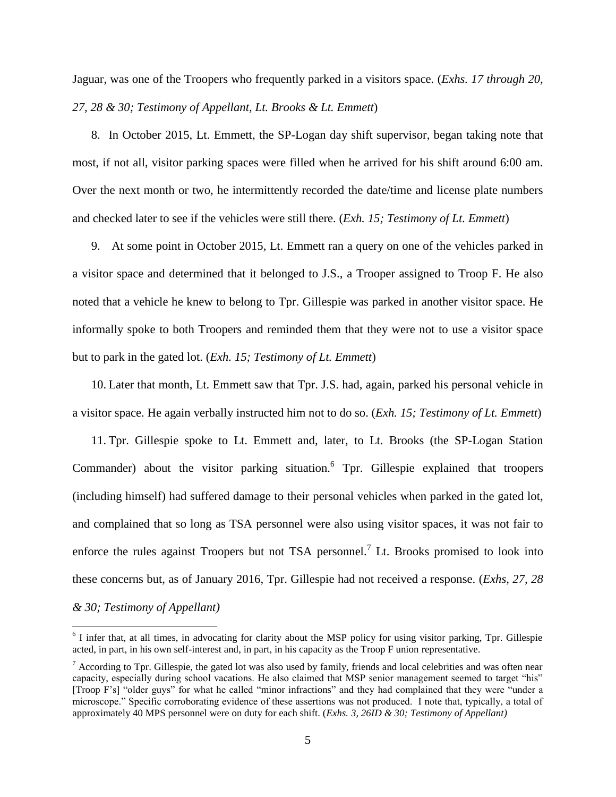Jaguar, was one of the Troopers who frequently parked in a visitors space. (*Exhs. 17 through 20, 27, 28 & 30; Testimony of Appellant, Lt. Brooks & Lt. Emmett*)

8. In October 2015, Lt. Emmett, the SP-Logan day shift supervisor, began taking note that most, if not all, visitor parking spaces were filled when he arrived for his shift around 6:00 am. Over the next month or two, he intermittently recorded the date/time and license plate numbers and checked later to see if the vehicles were still there. (*Exh. 15; Testimony of Lt. Emmett*)

9. At some point in October 2015, Lt. Emmett ran a query on one of the vehicles parked in a visitor space and determined that it belonged to J.S., a Trooper assigned to Troop F. He also noted that a vehicle he knew to belong to Tpr. Gillespie was parked in another visitor space. He informally spoke to both Troopers and reminded them that they were not to use a visitor space but to park in the gated lot. (*Exh. 15; Testimony of Lt. Emmett*)

10. Later that month, Lt. Emmett saw that Tpr. J.S. had, again, parked his personal vehicle in a visitor space. He again verbally instructed him not to do so. (*Exh. 15; Testimony of Lt. Emmett*)

11. Tpr. Gillespie spoke to Lt. Emmett and, later, to Lt. Brooks (the SP-Logan Station Commander) about the visitor parking situation.<sup>6</sup> Tpr. Gillespie explained that troopers (including himself) had suffered damage to their personal vehicles when parked in the gated lot, and complained that so long as TSA personnel were also using visitor spaces, it was not fair to enforce the rules against Troopers but not TSA personnel.<sup>7</sup> Lt. Brooks promised to look into these concerns but, as of January 2016, Tpr. Gillespie had not received a response. (*Exhs, 27, 28 & 30; Testimony of Appellant)*

<sup>&</sup>lt;sup>6</sup> I infer that, at all times, in advocating for clarity about the MSP policy for using visitor parking, Tpr. Gillespie acted, in part, in his own self-interest and, in part, in his capacity as the Troop F union representative.

 $<sup>7</sup>$  According to Tpr. Gillespie, the gated lot was also used by family, friends and local celebrities and was often near</sup> capacity, especially during school vacations. He also claimed that MSP senior management seemed to target "his" [Troop F's] "older guys" for what he called "minor infractions" and they had complained that they were "under a microscope." Specific corroborating evidence of these assertions was not produced. I note that, typically, a total of approximately 40 MPS personnel were on duty for each shift. (*Exhs. 3, 26ID & 30; Testimony of Appellant)*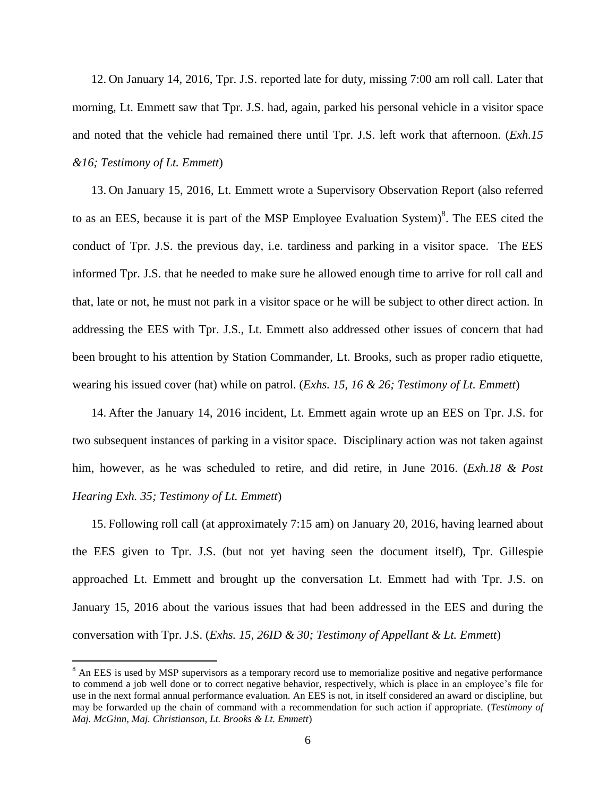12. On January 14, 2016, Tpr. J.S. reported late for duty, missing 7:00 am roll call. Later that morning, Lt. Emmett saw that Tpr. J.S. had, again, parked his personal vehicle in a visitor space and noted that the vehicle had remained there until Tpr. J.S. left work that afternoon. (*Exh.15 &16; Testimony of Lt. Emmett*)

13. On January 15, 2016, Lt. Emmett wrote a Supervisory Observation Report (also referred to as an EES, because it is part of the MSP Employee Evaluation System)<sup>8</sup>. The EES cited the conduct of Tpr. J.S. the previous day, i.e. tardiness and parking in a visitor space. The EES informed Tpr. J.S. that he needed to make sure he allowed enough time to arrive for roll call and that, late or not, he must not park in a visitor space or he will be subject to other direct action. In addressing the EES with Tpr. J.S., Lt. Emmett also addressed other issues of concern that had been brought to his attention by Station Commander, Lt. Brooks, such as proper radio etiquette, wearing his issued cover (hat) while on patrol. (*Exhs. 15, 16 & 26; Testimony of Lt. Emmett*)

14. After the January 14, 2016 incident, Lt. Emmett again wrote up an EES on Tpr. J.S. for two subsequent instances of parking in a visitor space. Disciplinary action was not taken against him, however, as he was scheduled to retire, and did retire, in June 2016. (*Exh.18 & Post Hearing Exh. 35; Testimony of Lt. Emmett*)

15. Following roll call (at approximately 7:15 am) on January 20, 2016, having learned about the EES given to Tpr. J.S. (but not yet having seen the document itself), Tpr. Gillespie approached Lt. Emmett and brought up the conversation Lt. Emmett had with Tpr. J.S. on January 15, 2016 about the various issues that had been addressed in the EES and during the conversation with Tpr. J.S. (*Exhs. 15, 26ID & 30; Testimony of Appellant & Lt. Emmett*)

 $8$  An EES is used by MSP supervisors as a temporary record use to memorialize positive and negative performance to commend a job well done or to correct negative behavior, respectively, which is place in an employee's file for use in the next formal annual performance evaluation. An EES is not, in itself considered an award or discipline, but may be forwarded up the chain of command with a recommendation for such action if appropriate. (*Testimony of Maj. McGinn, Maj. Christianson, Lt. Brooks & Lt. Emmett*)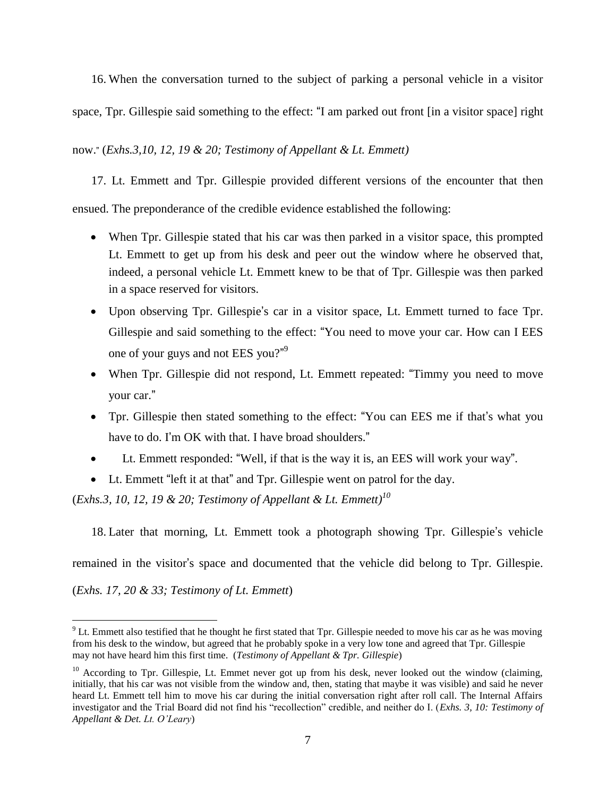16. When the conversation turned to the subject of parking a personal vehicle in a visitor space, Tpr. Gillespie said something to the effect: "I am parked out front [in a visitor space] right

now." (*Exhs.3,10, 12, 19 & 20; Testimony of Appellant & Lt. Emmett)*

17. Lt. Emmett and Tpr. Gillespie provided different versions of the encounter that then ensued. The preponderance of the credible evidence established the following:

- When Tpr. Gillespie stated that his car was then parked in a visitor space, this prompted Lt. Emmett to get up from his desk and peer out the window where he observed that, indeed, a personal vehicle Lt. Emmett knew to be that of Tpr. Gillespie was then parked in a space reserved for visitors.
- Upon observing Tpr. Gillespie's car in a visitor space, Lt. Emmett turned to face Tpr. Gillespie and said something to the effect: "You need to move your car. How can I EES one of your guys and not EES you?"<sup>9</sup>
- When Tpr. Gillespie did not respond, Lt. Emmett repeated: "Timmy you need to move your car."
- Tpr. Gillespie then stated something to the effect: "You can EES me if that's what you have to do. I'm OK with that. I have broad shoulders."
- Lt. Emmett responded: "Well, if that is the way it is, an EES will work your way".
- Lt. Emmett "left it at that" and Tpr. Gillespie went on patrol for the day.

(*Exhs.3, 10, 12, 19 & 20; Testimony of Appellant & Lt. Emmett)<sup>10</sup>*

18. Later that morning, Lt. Emmett took a photograph showing Tpr. Gillespie's vehicle

remained in the visitor's space and documented that the vehicle did belong to Tpr. Gillespie.

(*Exhs. 17, 20 & 33; Testimony of Lt. Emmett*)

 $9$  Lt. Emmett also testified that he thought he first stated that Tpr. Gillespie needed to move his car as he was moving from his desk to the window, but agreed that he probably spoke in a very low tone and agreed that Tpr. Gillespie may not have heard him this first time. (*Testimony of Appellant & Tpr. Gillespie*)

 $10$  According to Tpr. Gillespie, Lt. Emmet never got up from his desk, never looked out the window (claiming, initially, that his car was not visible from the window and, then, stating that maybe it was visible) and said he never heard Lt. Emmett tell him to move his car during the initial conversation right after roll call. The Internal Affairs investigator and the Trial Board did not find his "recollection" credible, and neither do I. (*Exhs. 3, 10: Testimony of Appellant & Det. Lt. O'Leary*)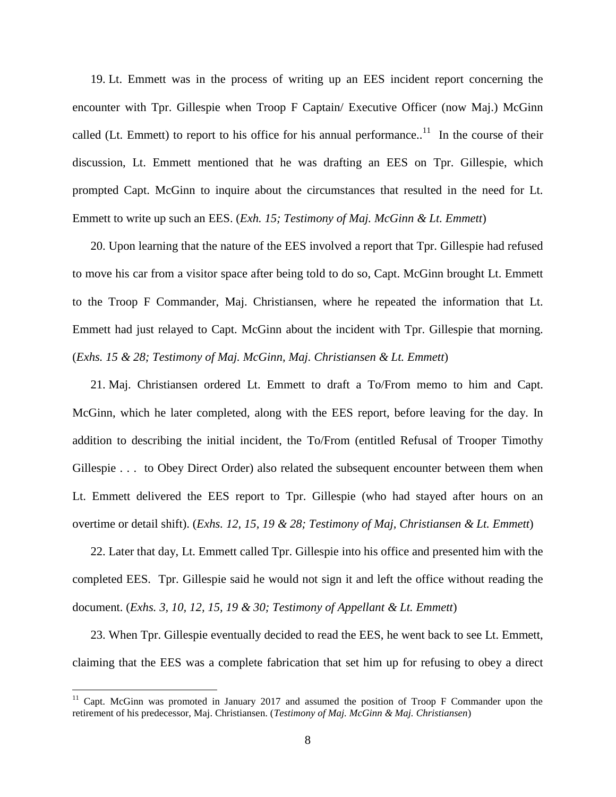19. Lt. Emmett was in the process of writing up an EES incident report concerning the encounter with Tpr. Gillespie when Troop F Captain/ Executive Officer (now Maj.) McGinn called (Lt. Emmett) to report to his office for his annual performance..<sup>11</sup> In the course of their discussion, Lt. Emmett mentioned that he was drafting an EES on Tpr. Gillespie, which prompted Capt. McGinn to inquire about the circumstances that resulted in the need for Lt. Emmett to write up such an EES. (*Exh. 15; Testimony of Maj. McGinn & Lt. Emmett*)

20. Upon learning that the nature of the EES involved a report that Tpr. Gillespie had refused to move his car from a visitor space after being told to do so, Capt. McGinn brought Lt. Emmett to the Troop F Commander, Maj. Christiansen, where he repeated the information that Lt. Emmett had just relayed to Capt. McGinn about the incident with Tpr. Gillespie that morning. (*Exhs. 15 & 28; Testimony of Maj. McGinn, Maj. Christiansen & Lt. Emmett*)

21. Maj. Christiansen ordered Lt. Emmett to draft a To/From memo to him and Capt. McGinn, which he later completed, along with the EES report, before leaving for the day. In addition to describing the initial incident, the To/From (entitled Refusal of Trooper Timothy Gillespie . . . to Obey Direct Order) also related the subsequent encounter between them when Lt. Emmett delivered the EES report to Tpr. Gillespie (who had stayed after hours on an overtime or detail shift). (*Exhs. 12, 15, 19 & 28; Testimony of Maj, Christiansen & Lt. Emmett*)

22. Later that day, Lt. Emmett called Tpr. Gillespie into his office and presented him with the completed EES. Tpr. Gillespie said he would not sign it and left the office without reading the document. (*Exhs. 3, 10, 12, 15, 19 & 30; Testimony of Appellant & Lt. Emmett*)

23. When Tpr. Gillespie eventually decided to read the EES, he went back to see Lt. Emmett, claiming that the EES was a complete fabrication that set him up for refusing to obey a direct

 $11$  Capt. McGinn was promoted in January 2017 and assumed the position of Troop F Commander upon the retirement of his predecessor, Maj. Christiansen. (*Testimony of Maj. McGinn & Maj. Christiansen*)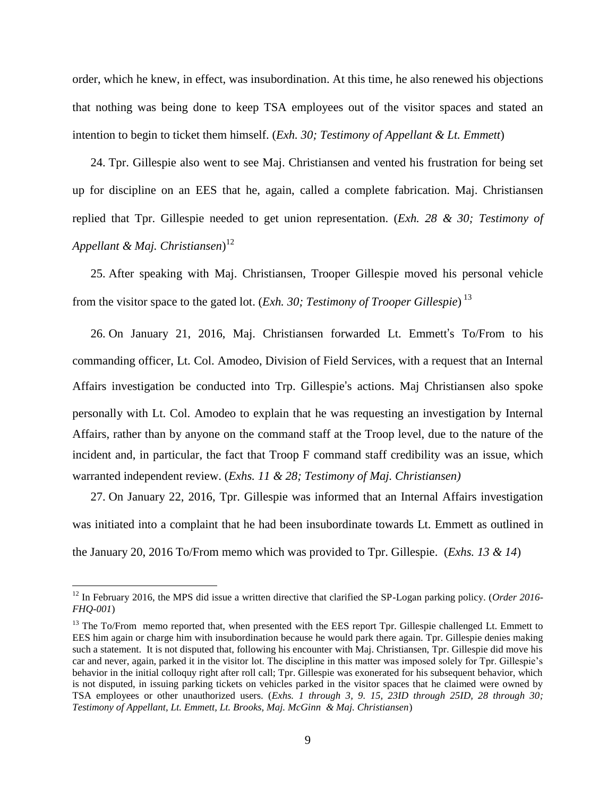order, which he knew, in effect, was insubordination. At this time, he also renewed his objections that nothing was being done to keep TSA employees out of the visitor spaces and stated an intention to begin to ticket them himself. (*Exh. 30; Testimony of Appellant & Lt. Emmett*)

24. Tpr. Gillespie also went to see Maj. Christiansen and vented his frustration for being set up for discipline on an EES that he, again, called a complete fabrication. Maj. Christiansen replied that Tpr. Gillespie needed to get union representation. (*Exh. 28 & 30; Testimony of Appellant & Maj. Christiansen*) 12

25. After speaking with Maj. Christiansen, Trooper Gillespie moved his personal vehicle from the visitor space to the gated lot. (*Exh. 30; Testimony of Trooper Gillespie*) 13

26. On January 21, 2016, Maj. Christiansen forwarded Lt. Emmett's To/From to his commanding officer, Lt. Col. Amodeo, Division of Field Services, with a request that an Internal Affairs investigation be conducted into Trp. Gillespie's actions. Maj Christiansen also spoke personally with Lt. Col. Amodeo to explain that he was requesting an investigation by Internal Affairs, rather than by anyone on the command staff at the Troop level, due to the nature of the incident and, in particular, the fact that Troop F command staff credibility was an issue, which warranted independent review. (*Exhs. 11 & 28; Testimony of Maj. Christiansen)*

27. On January 22, 2016, Tpr. Gillespie was informed that an Internal Affairs investigation was initiated into a complaint that he had been insubordinate towards Lt. Emmett as outlined in the January 20, 2016 To/From memo which was provided to Tpr. Gillespie. (*Exhs. 13 & 14*)

<sup>&</sup>lt;sup>12</sup> In February 2016, the MPS did issue a written directive that clarified the SP-Logan parking policy. (*Order 2016*-*FHQ-001*)

<sup>&</sup>lt;sup>13</sup> The To/From memo reported that, when presented with the EES report Tpr. Gillespie challenged Lt. Emmett to EES him again or charge him with insubordination because he would park there again. Tpr. Gillespie denies making such a statement. It is not disputed that, following his encounter with Maj. Christiansen, Tpr. Gillespie did move his car and never, again, parked it in the visitor lot. The discipline in this matter was imposed solely for Tpr. Gillespie's behavior in the initial colloquy right after roll call; Tpr. Gillespie was exonerated for his subsequent behavior, which is not disputed, in issuing parking tickets on vehicles parked in the visitor spaces that he claimed were owned by TSA employees or other unauthorized users. (*Exhs. 1 through 3, 9. 15, 23ID through 25ID, 28 through 30; Testimony of Appellant, Lt. Emmett, Lt. Brooks, Maj. McGinn & Maj. Christiansen*)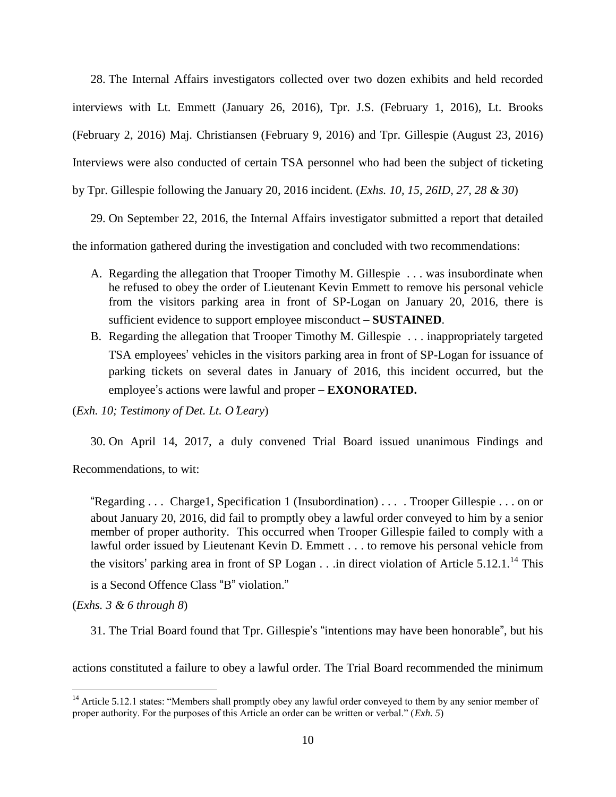28. The Internal Affairs investigators collected over two dozen exhibits and held recorded interviews with Lt. Emmett (January 26, 2016), Tpr. J.S. (February 1, 2016), Lt. Brooks (February 2, 2016) Maj. Christiansen (February 9, 2016) and Tpr. Gillespie (August 23, 2016) Interviews were also conducted of certain TSA personnel who had been the subject of ticketing by Tpr. Gillespie following the January 20, 2016 incident. (*Exhs. 10, 15, 26ID, 27, 28 & 30*)

29. On September 22, 2016, the Internal Affairs investigator submitted a report that detailed

the information gathered during the investigation and concluded with two recommendations:

- A. Regarding the allegation that Trooper Timothy M. Gillespie . . . was insubordinate when he refused to obey the order of Lieutenant Kevin Emmett to remove his personal vehicle from the visitors parking area in front of SP-Logan on January 20, 2016, there is sufficient evidence to support employee misconduct – **SUSTAINED**.
- B. Regarding the allegation that Trooper Timothy M. Gillespie . . . inappropriately targeted TSA employees' vehicles in the visitors parking area in front of SP-Logan for issuance of parking tickets on several dates in January of 2016, this incident occurred, but the employee's actions were lawful and proper – **EXONORATED.**

(*Exh. 10; Testimony of Det. Lt. O*'*Leary*)

30. On April 14, 2017, a duly convened Trial Board issued unanimous Findings and

Recommendations, to wit:

"Regarding . . . Charge1, Specification 1 (Insubordination) . . . . Trooper Gillespie . . . on or about January 20, 2016, did fail to promptly obey a lawful order conveyed to him by a senior member of proper authority. This occurred when Trooper Gillespie failed to comply with a lawful order issued by Lieutenant Kevin D. Emmett . . . to remove his personal vehicle from the visitors' parking area in front of SP Logan  $\ldots$  in direct violation of Article 5.12.1.<sup>14</sup> This is a Second Offence Class "B" violation."

(*Exhs. 3 & 6 through 8*)

 $\overline{a}$ 

31. The Trial Board found that Tpr. Gillespie's "intentions may have been honorable", but his

actions constituted a failure to obey a lawful order. The Trial Board recommended the minimum

<sup>&</sup>lt;sup>14</sup> Article 5.12.1 states: "Members shall promptly obey any lawful order conveyed to them by any senior member of proper authority. For the purposes of this Article an order can be written or verbal." (*Exh. 5*)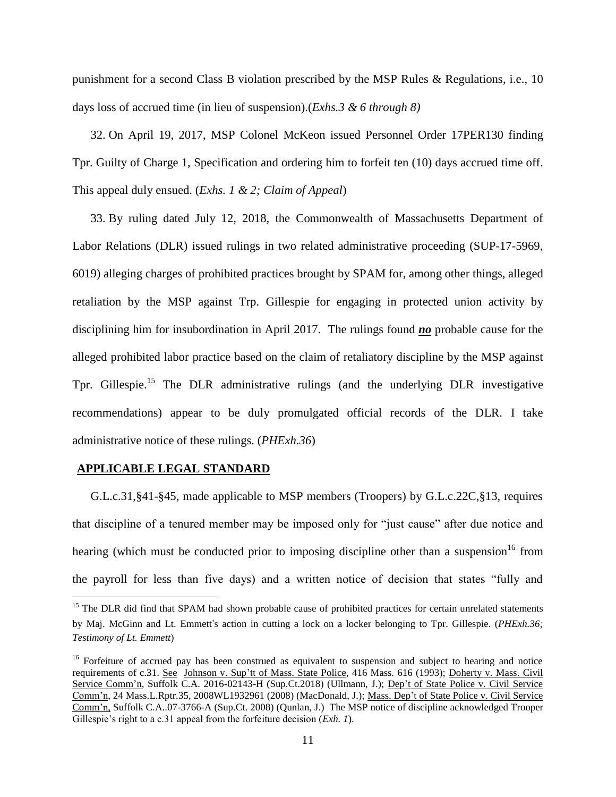punishment for a second Class B violation prescribed by the MSP Rules & Regulations, i.e., 10 days loss of accrued time (in lieu of suspension).(*Exhs.3 & 6 through 8)*

32. On April 19, 2017, MSP Colonel McKeon issued Personnel Order 17PER130 finding Tpr. Guilty of Charge 1, Specification and ordering him to forfeit ten (10) days accrued time off. This appeal duly ensued. (*Exhs. 1 & 2; Claim of Appeal*)

33. By ruling dated July 12, 2018, the Commonwealth of Massachusetts Department of Labor Relations (DLR) issued rulings in two related administrative proceeding (SUP-17-5969, 6019) alleging charges of prohibited practices brought by SPAM for, among other things, alleged retaliation by the MSP against Trp. Gillespie for engaging in protected union activity by disciplining him for insubordination in April 2017. The rulings found *no* probable cause for the alleged prohibited labor practice based on the claim of retaliatory discipline by the MSP against Tpr. Gillespie.<sup>15</sup> The DLR administrative rulings (and the underlying DLR investigative recommendations) appear to be duly promulgated official records of the DLR. I take administrative notice of these rulings. (*PHExh.36*)

### **APPLICABLE LEGAL STANDARD**

 $\overline{a}$ 

G.L.c.31,§41-§45, made applicable to MSP members (Troopers) by G.L.c.22C,§13, requires that discipline of a tenured member may be imposed only for "just cause" after due notice and hearing (which must be conducted prior to imposing discipline other than a suspension  $16$  from the payroll for less than five days) and a written notice of decision that states "fully and

<sup>&</sup>lt;sup>15</sup> The DLR did find that SPAM had shown probable cause of prohibited practices for certain unrelated statements by Maj. McGinn and Lt. Emmett's action in cutting a lock on a locker belonging to Tpr. Gillespie. (*PHExh.36; Testimony of Lt. Emmett*)

<sup>&</sup>lt;sup>16</sup> Forfeiture of accrued pay has been construed as equivalent to suspension and subject to hearing and notice requirements of c.31. See Johnson v. Sup'tt of Mass. State Police, 416 Mass. 616 (1993); Doherty v. Mass. Civil Service Comm'n, Suffolk C.A. 2016-02143-H (Sup.Ct.2018) (Ullmann, J.); Dep't of State Police v. Civil Service Comm'n*,* 24 Mass.L.Rptr.35, 2008WL1932961 (2008) (MacDonald, J.); Mass. Dep't of State Police v. Civil Service Comm'n, Suffolk C.A..07-3766-A (Sup.Ct. 2008) (Qunlan, J.) The MSP notice of discipline acknowledged Trooper Gillespie's right to a c.31 appeal from the forfeiture decision (*Exh. 1*).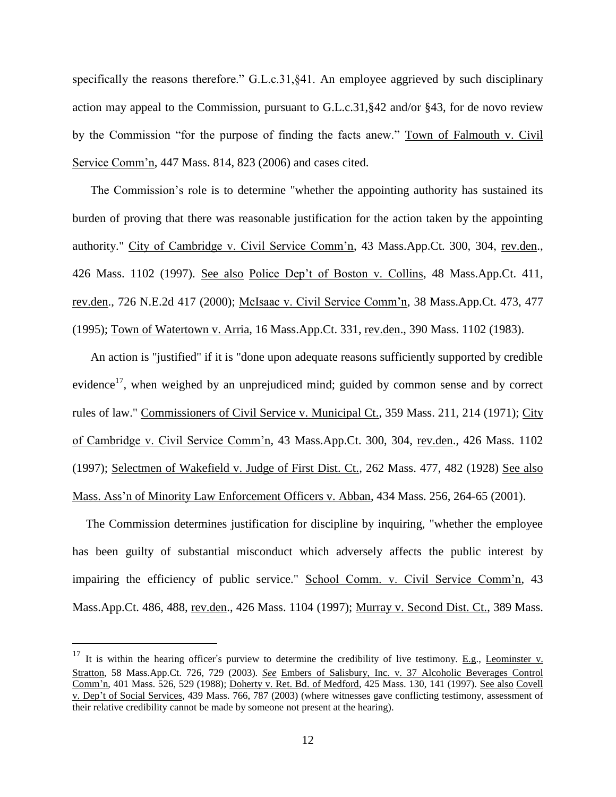specifically the reasons therefore." G.L.c.31, §41. An employee aggrieved by such disciplinary action may appeal to the Commission, pursuant to G.L.c.31,§42 and/or §43, for de novo review by the Commission "for the purpose of finding the facts anew." Town of Falmouth v. Civil Service Comm'n, 447 Mass. 814, 823 (2006) and cases cited.

The Commission's role is to determine "whether the appointing authority has sustained its burden of proving that there was reasonable justification for the action taken by the appointing authority." City of Cambridge v. Civil Service Comm'n, 43 Mass.App.Ct. 300, 304, rev.den., 426 Mass. 1102 (1997). See also Police Dep't of Boston v. Collins, 48 Mass.App.Ct. 411, rev.den., 726 N.E.2d 417 (2000); McIsaac v. Civil Service Comm'n, 38 Mass.App.Ct. 473, 477 (1995); Town of Watertown v. Arria, 16 Mass.App.Ct. 331, rev.den., 390 Mass. 1102 (1983).

An action is "justified" if it is "done upon adequate reasons sufficiently supported by credible evidence<sup>17</sup>, when weighed by an unprejudiced mind; guided by common sense and by correct rules of law." Commissioners of Civil Service v. Municipal Ct., 359 Mass. 211, 214 (1971); City of Cambridge v. Civil Service Comm'n, 43 Mass.App.Ct. 300, 304, rev.den., 426 Mass. 1102 (1997); Selectmen of Wakefield v. Judge of First Dist. Ct., 262 Mass. 477, 482 (1928) See also Mass. Ass'n of Minority Law Enforcement Officers v. Abban, 434 Mass. 256, 264-65 (2001).

The Commission determines justification for discipline by inquiring, "whether the employee has been guilty of substantial misconduct which adversely affects the public interest by impairing the efficiency of public service." School Comm. v. Civil Service Comm'n, 43 Mass.App.Ct. 486, 488, rev.den., 426 Mass. 1104 (1997); Murray v. Second Dist. Ct., 389 Mass.

<sup>&</sup>lt;sup>17</sup> It is within the hearing officer's purview to determine the credibility of live testimony. <u>E.g.</u>, Leominster v. Stratton, 58 Mass.App.Ct. 726, 729 (2003). *See* Embers of Salisbury, Inc. v. 37 Alcoholic Beverages Control Comm'n, 401 Mass. 526, 529 (1988); Doherty v. Ret. Bd. of Medford, 425 Mass. 130, 141 (1997). See also Covell v. Dep't of Social Services, 439 Mass. 766, 787 (2003) (where witnesses gave conflicting testimony, assessment of their relative credibility cannot be made by someone not present at the hearing).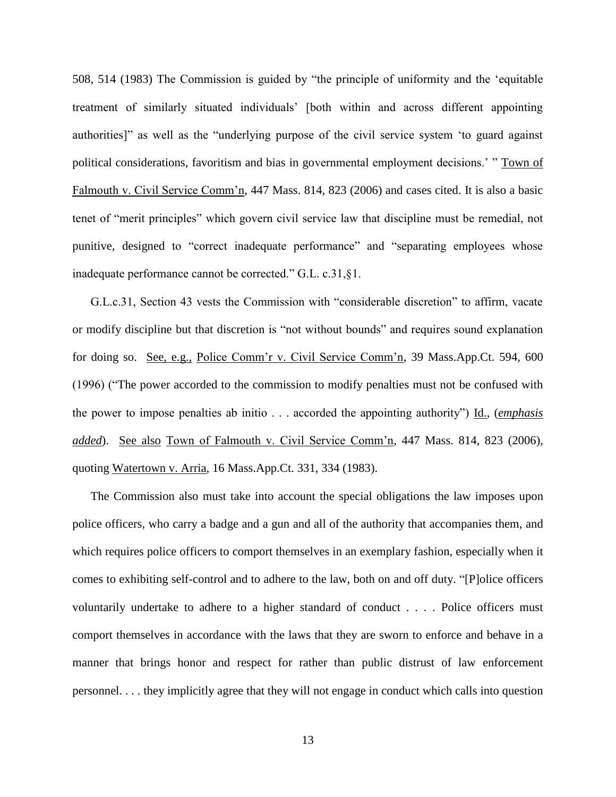508, 514 (1983) The Commission is guided by "the principle of uniformity and the 'equitable treatment of similarly situated individuals' [both within and across different appointing authorities]" as well as the "underlying purpose of the civil service system 'to guard against political considerations, favoritism and bias in governmental employment decisions.' " Town of Falmouth v. Civil Service Comm'n, 447 Mass. 814, 823 (2006) and cases cited. It is also a basic tenet of "merit principles" which govern civil service law that discipline must be remedial, not punitive, designed to "correct inadequate performance" and "separating employees whose inadequate performance cannot be corrected." G.L. c.31,§1.

G.L.c.31, Section 43 vests the Commission with "considerable discretion" to affirm, vacate or modify discipline but that discretion is "not without bounds" and requires sound explanation for doing so. See, e.g., Police Comm'r v. Civil Service Comm'n, 39 Mass.App.Ct. 594, 600 (1996) ("The power accorded to the commission to modify penalties must not be confused with the power to impose penalties ab initio . . . accorded the appointing authority") Id., (*emphasis added*). See also Town of Falmouth v. Civil Service Comm'n, 447 Mass. 814, 823 (2006), quoting Watertown v. Arria, 16 Mass.App.Ct. 331, 334 (1983).

The Commission also must take into account the special obligations the law imposes upon police officers, who carry a badge and a gun and all of the authority that accompanies them, and which requires police officers to comport themselves in an exemplary fashion, especially when it comes to exhibiting self-control and to adhere to the law, both on and off duty. "[P]olice officers voluntarily undertake to adhere to a higher standard of conduct . . . . Police officers must comport themselves in accordance with the laws that they are sworn to enforce and behave in a manner that brings honor and respect for rather than public distrust of law enforcement personnel. . . . they implicitly agree that they will not engage in conduct which calls into question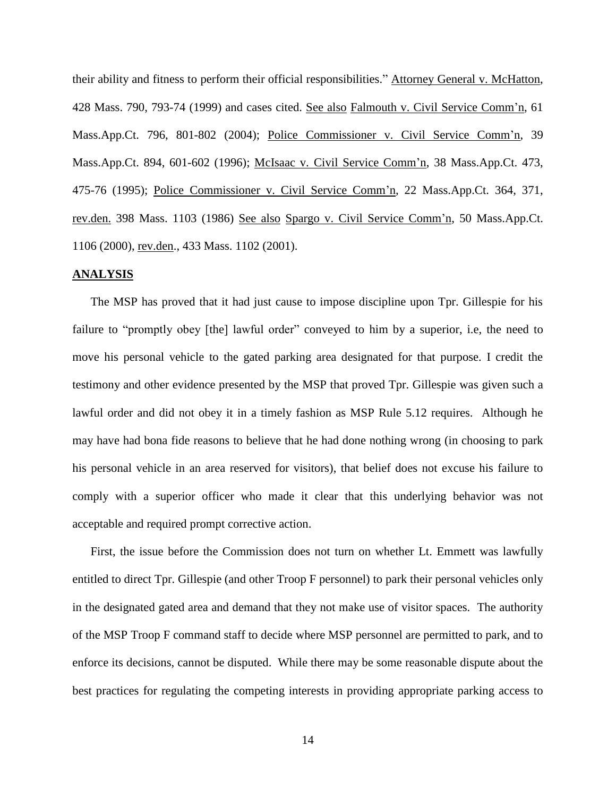their ability and fitness to perform their official responsibilities." Attorney General v. McHatton, 428 Mass. 790, 793-74 (1999) and cases cited. See also Falmouth v. Civil Service Comm'n, 61 Mass.App.Ct. 796, 801-802 (2004); Police Commissioner v. Civil Service Comm'n, 39 Mass.App.Ct. 894, 601-602 (1996); McIsaac v. Civil Service Comm'n, 38 Mass.App.Ct. 473, 475-76 (1995); Police Commissioner v. Civil Service Comm'n, 22 Mass.App.Ct. 364, 371, rev.den. 398 Mass. 1103 (1986) See also Spargo v. Civil Service Comm'n, 50 Mass.App.Ct. 1106 (2000), rev.den., 433 Mass. 1102 (2001).

#### **ANALYSIS**

The MSP has proved that it had just cause to impose discipline upon Tpr. Gillespie for his failure to "promptly obey [the] lawful order" conveyed to him by a superior, i.e, the need to move his personal vehicle to the gated parking area designated for that purpose. I credit the testimony and other evidence presented by the MSP that proved Tpr. Gillespie was given such a lawful order and did not obey it in a timely fashion as MSP Rule 5.12 requires. Although he may have had bona fide reasons to believe that he had done nothing wrong (in choosing to park his personal vehicle in an area reserved for visitors), that belief does not excuse his failure to comply with a superior officer who made it clear that this underlying behavior was not acceptable and required prompt corrective action.

First, the issue before the Commission does not turn on whether Lt. Emmett was lawfully entitled to direct Tpr. Gillespie (and other Troop F personnel) to park their personal vehicles only in the designated gated area and demand that they not make use of visitor spaces. The authority of the MSP Troop F command staff to decide where MSP personnel are permitted to park, and to enforce its decisions, cannot be disputed. While there may be some reasonable dispute about the best practices for regulating the competing interests in providing appropriate parking access to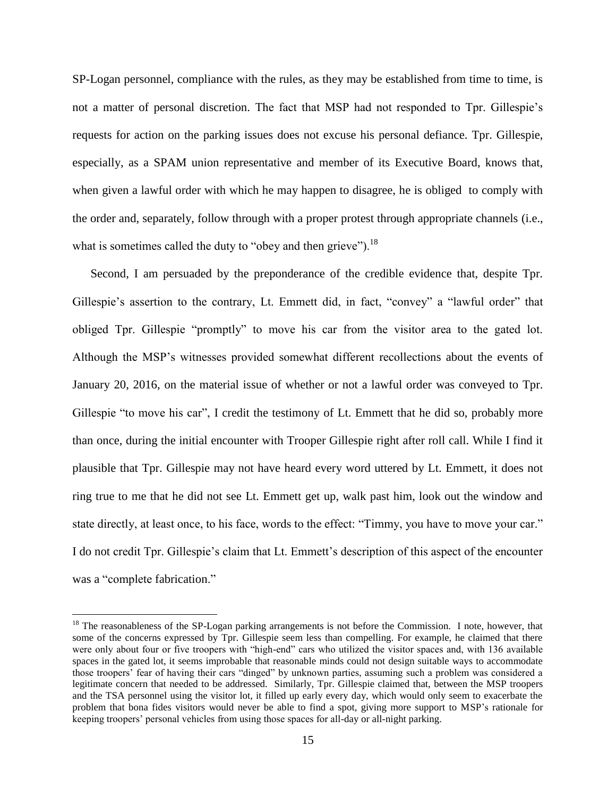SP-Logan personnel, compliance with the rules, as they may be established from time to time, is not a matter of personal discretion. The fact that MSP had not responded to Tpr. Gillespie's requests for action on the parking issues does not excuse his personal defiance. Tpr. Gillespie, especially, as a SPAM union representative and member of its Executive Board, knows that, when given a lawful order with which he may happen to disagree, he is obliged to comply with the order and, separately, follow through with a proper protest through appropriate channels (i.e., what is sometimes called the duty to "obey and then grieve").  $^{18}$ 

Second, I am persuaded by the preponderance of the credible evidence that, despite Tpr. Gillespie's assertion to the contrary, Lt. Emmett did, in fact, "convey" a "lawful order" that obliged Tpr. Gillespie "promptly" to move his car from the visitor area to the gated lot. Although the MSP's witnesses provided somewhat different recollections about the events of January 20, 2016, on the material issue of whether or not a lawful order was conveyed to Tpr. Gillespie "to move his car", I credit the testimony of Lt. Emmett that he did so, probably more than once, during the initial encounter with Trooper Gillespie right after roll call. While I find it plausible that Tpr. Gillespie may not have heard every word uttered by Lt. Emmett, it does not ring true to me that he did not see Lt. Emmett get up, walk past him, look out the window and state directly, at least once, to his face, words to the effect: "Timmy, you have to move your car." I do not credit Tpr. Gillespie's claim that Lt. Emmett's description of this aspect of the encounter was a "complete fabrication."

<sup>&</sup>lt;sup>18</sup> The reasonableness of the SP-Logan parking arrangements is not before the Commission. I note, however, that some of the concerns expressed by Tpr. Gillespie seem less than compelling. For example, he claimed that there were only about four or five troopers with "high-end" cars who utilized the visitor spaces and, with 136 available spaces in the gated lot, it seems improbable that reasonable minds could not design suitable ways to accommodate those troopers' fear of having their cars "dinged" by unknown parties, assuming such a problem was considered a legitimate concern that needed to be addressed. Similarly, Tpr. Gillespie claimed that, between the MSP troopers and the TSA personnel using the visitor lot, it filled up early every day, which would only seem to exacerbate the problem that bona fides visitors would never be able to find a spot, giving more support to MSP's rationale for keeping troopers' personal vehicles from using those spaces for all-day or all-night parking.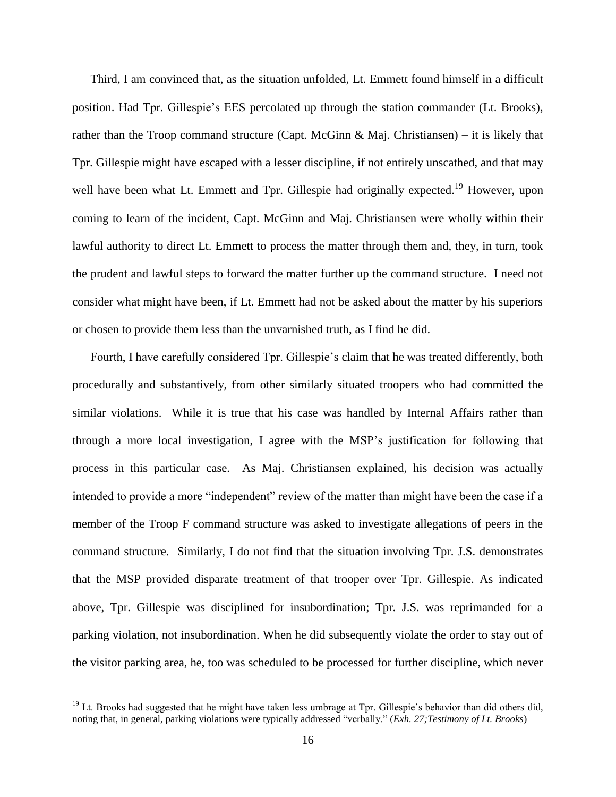Third, I am convinced that, as the situation unfolded, Lt. Emmett found himself in a difficult position. Had Tpr. Gillespie's EES percolated up through the station commander (Lt. Brooks), rather than the Troop command structure (Capt. McGinn & Maj. Christiansen) – it is likely that Tpr. Gillespie might have escaped with a lesser discipline, if not entirely unscathed, and that may well have been what Lt. Emmett and Tpr. Gillespie had originally expected.<sup>19</sup> However, upon coming to learn of the incident, Capt. McGinn and Maj. Christiansen were wholly within their lawful authority to direct Lt. Emmett to process the matter through them and, they, in turn, took the prudent and lawful steps to forward the matter further up the command structure. I need not consider what might have been, if Lt. Emmett had not be asked about the matter by his superiors or chosen to provide them less than the unvarnished truth, as I find he did.

Fourth, I have carefully considered Tpr. Gillespie's claim that he was treated differently, both procedurally and substantively, from other similarly situated troopers who had committed the similar violations. While it is true that his case was handled by Internal Affairs rather than through a more local investigation, I agree with the MSP's justification for following that process in this particular case. As Maj. Christiansen explained, his decision was actually intended to provide a more "independent" review of the matter than might have been the case if a member of the Troop F command structure was asked to investigate allegations of peers in the command structure. Similarly, I do not find that the situation involving Tpr. J.S. demonstrates that the MSP provided disparate treatment of that trooper over Tpr. Gillespie. As indicated above, Tpr. Gillespie was disciplined for insubordination; Tpr. J.S. was reprimanded for a parking violation, not insubordination. When he did subsequently violate the order to stay out of the visitor parking area, he, too was scheduled to be processed for further discipline, which never

 $19$  Lt. Brooks had suggested that he might have taken less umbrage at Tpr. Gillespie's behavior than did others did, noting that, in general, parking violations were typically addressed "verbally." (*Exh. 27;Testimony of Lt. Brooks*)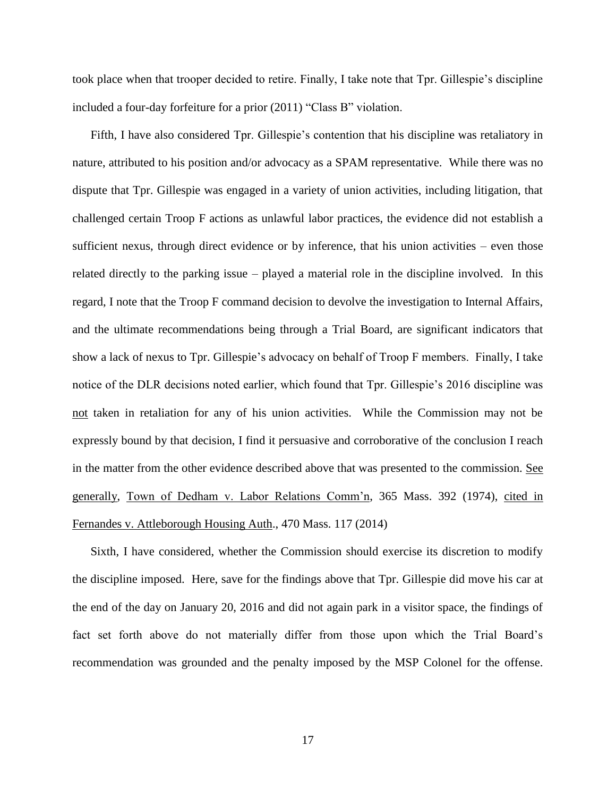took place when that trooper decided to retire. Finally, I take note that Tpr. Gillespie's discipline included a four-day forfeiture for a prior (2011) "Class B" violation.

Fifth, I have also considered Tpr. Gillespie's contention that his discipline was retaliatory in nature, attributed to his position and/or advocacy as a SPAM representative. While there was no dispute that Tpr. Gillespie was engaged in a variety of union activities, including litigation, that challenged certain Troop F actions as unlawful labor practices, the evidence did not establish a sufficient nexus, through direct evidence or by inference, that his union activities – even those related directly to the parking issue – played a material role in the discipline involved. In this regard, I note that the Troop F command decision to devolve the investigation to Internal Affairs, and the ultimate recommendations being through a Trial Board, are significant indicators that show a lack of nexus to Tpr. Gillespie's advocacy on behalf of Troop F members. Finally, I take notice of the DLR decisions noted earlier, which found that Tpr. Gillespie's 2016 discipline was not taken in retaliation for any of his union activities. While the Commission may not be expressly bound by that decision, I find it persuasive and corroborative of the conclusion I reach in the matter from the other evidence described above that was presented to the commission. See generally, Town of Dedham v. Labor Relations Comm'n, 365 Mass. 392 (1974), cited in Fernandes v. Attleborough Housing Auth., 470 Mass. 117 (2014)

Sixth, I have considered, whether the Commission should exercise its discretion to modify the discipline imposed. Here, save for the findings above that Tpr. Gillespie did move his car at the end of the day on January 20, 2016 and did not again park in a visitor space, the findings of fact set forth above do not materially differ from those upon which the Trial Board's recommendation was grounded and the penalty imposed by the MSP Colonel for the offense.